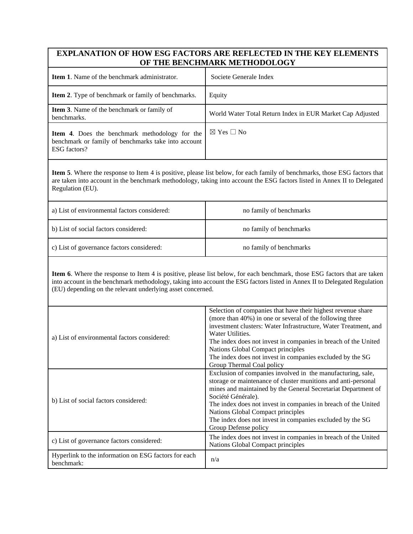## **EXPLANATION OF HOW ESG FACTORS ARE REFLECTED IN THE KEY ELEMENTS OF THE BENCHMARK METHODOLOGY**

| <b>Item 1.</b> Name of the benchmark administrator.                                                                          | Societe Generale Index                                    |
|------------------------------------------------------------------------------------------------------------------------------|-----------------------------------------------------------|
| <b>Item 2.</b> Type of benchmark or family of benchmarks.                                                                    | Equity                                                    |
| <b>Item 3.</b> Name of the benchmark or family of<br>benchmarks.                                                             | World Water Total Return Index in EUR Market Cap Adjusted |
| <b>Item 4.</b> Does the benchmark methodology for the<br>benchmark or family of benchmarks take into account<br>ESG factors? | $\boxtimes$ Yes $\Box$ No                                 |

**Item 5**. Where the response to Item 4 is positive, please list below, for each family of benchmarks, those ESG factors that are taken into account in the benchmark methodology, taking into account the ESG factors listed in Annex II to Delegated Regulation (EU).

| a) List of environmental factors considered: | no family of benchmarks |
|----------------------------------------------|-------------------------|
| b) List of social factors considered:        | no family of benchmarks |
| c) List of governance factors considered:    | no family of benchmarks |

**Item 6**. Where the response to Item 4 is positive, please list below, for each benchmark, those ESG factors that are taken into account in the benchmark methodology, taking into account the ESG factors listed in Annex II to Delegated Regulation (EU) depending on the relevant underlying asset concerned.

| a) List of environmental factors considered:                       | Selection of companies that have their highest revenue share<br>(more than 40%) in one or several of the following three<br>investment clusters: Water Infrastructure, Water Treatment, and<br>Water Utilities.<br>The index does not invest in companies in breach of the United<br>Nations Global Compact principles<br>The index does not invest in companies excluded by the SG<br>Group Thermal Coal policy |
|--------------------------------------------------------------------|------------------------------------------------------------------------------------------------------------------------------------------------------------------------------------------------------------------------------------------------------------------------------------------------------------------------------------------------------------------------------------------------------------------|
| b) List of social factors considered:                              | Exclusion of companies involved in the manufacturing, sale,<br>storage or maintenance of cluster munitions and anti-personal<br>mines and maintained by the General Secretariat Department of<br>Société Générale).<br>The index does not invest in companies in breach of the United<br>Nations Global Compact principles<br>The index does not invest in companies excluded by the SG<br>Group Defense policy  |
| c) List of governance factors considered:                          | The index does not invest in companies in breach of the United<br>Nations Global Compact principles                                                                                                                                                                                                                                                                                                              |
| Hyperlink to the information on ESG factors for each<br>benchmark: | n/a                                                                                                                                                                                                                                                                                                                                                                                                              |